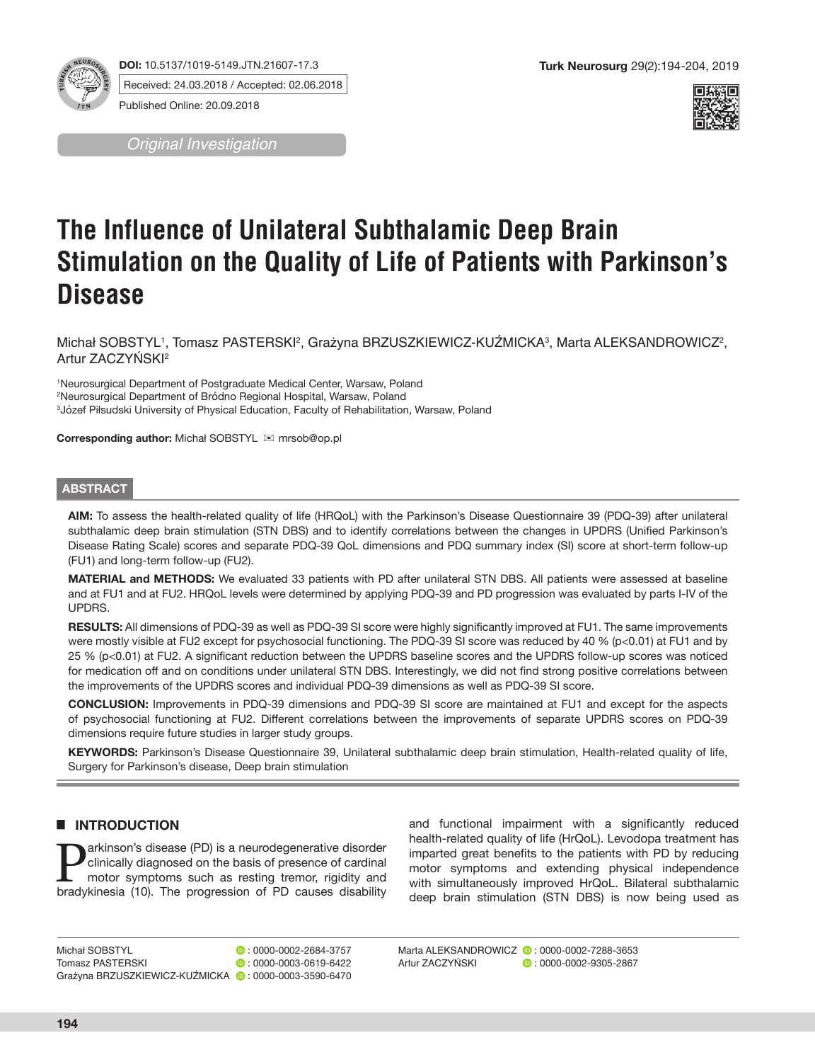

**DOI:** 10.5137/1019-5149.JTN.21607-17.3 Received: 24.03.2018 / Accepted: 02.06.2018

Published Online: 20.09.2018

*Original Investigation*



# **The Influence of Unilateral Subthalamic Deep Brain Stimulation on the Quality of Life of Patients with Parkinson's Disease**

Michał SOBSTYL', Tomasz PASTERSKI<sup>2</sup>, Grażyna BRZUSZKIEWICZ-KUZMICKA<sup>3</sup>, Marta ALEKSANDROWICZ<sup>2</sup>, Artur ZACZYŃSKI<sup>2</sup>

1 Neurosurgical Department of Postgraduate Medical Center, Warsaw, Poland 2 Neurosurgical Department of Bródno Regional Hospital, Warsaw, Poland 3 Józef Piłsudski University of Physical Education, Faculty of Rehabilitation, Warsaw, Poland

**Corresponding author:** Michał SOBSTYL mrsob@op.pl

#### **ABSTRACT**

**AIM:** To assess the health-related quality of life (HRQoL) with the Parkinson's Disease Questionnaire 39 (PDQ-39) after unilateral subthalamic deep brain stimulation (STN DBS) and to identify correlations between the changes in UPDRS (Unified Parkinson's Disease Rating Scale) scores and separate PDQ-39 QoL dimensions and PDQ summary index (SI) score at short-term follow-up (FU1) and long-term follow-up (FU2).

**MATERIAL and METHODS:** We evaluated 33 patients with PD after unilateral STN DBS. All patients were assessed at baseline and at FU1 and at FU2. HRQoL levels were determined by applying PDQ-39 and PD progression was evaluated by parts I-IV of the UPDRS.

**RESULTS:** All dimensions of PDQ-39 as well as PDQ-39 SI score were highly significantly improved at FU1. The same improvements were mostly visible at FU2 except for psychosocial functioning. The PDQ-39 SI score was reduced by 40 % (p<0.01) at FU1 and by 25 % (p<0.01) at FU2. A significant reduction between the UPDRS baseline scores and the UPDRS follow-up scores was noticed for medication off and on conditions under unilateral STN DBS. Interestingly, we did not find strong positive correlations between the improvements of the UPDRS scores and individual PDQ-39 dimensions as well as PDQ-39 SI score.

**CONCLUSION:** Improvements in PDQ-39 dimensions and PDQ-39 SI score are maintained at FU1 and except for the aspects of psychosocial functioning at FU2. Different correlations between the improvements of separate UPDRS scores on PDQ-39 dimensions require future studies in larger study groups.

**KEYWORDS:** Parkinson's Disease Questionnaire 39, Unilateral subthalamic deep brain stimulation, Health-related quality of life, Surgery for Parkinson's disease, Deep brain stimulation

# █ **INTRODUCTION**

**Parkinson's disease (PD) is a neurodegenerative disorder**<br>clinically diagnosed on the basis of presence of cardinal<br>motor symptoms such as resting tremor, rigidity and<br>bradykinesia (10). The progression of PD causes disob clinically diagnosed on the basis of presence of cardinal motor symptoms such as resting tremor, rigidity and bradykinesia (10). The progression of PD causes disability

and functional impairment with a significantly reduced health-related quality of life (HrQoL). Levodopa treatment has imparted great benefits to the patients with PD by reducing motor symptoms and extending physical independence with simultaneously improved HrQoL. Bilateral subthalamic deep brain stimulation (STN DBS) is now being used as

Marta ALEKSANDROWICZ (2:0000-0002-7288-3653<br>Artur ZACZYŃSKI (2:0000-0002-9305-2867)  $\bullet$  : 0000-0002-9305-2867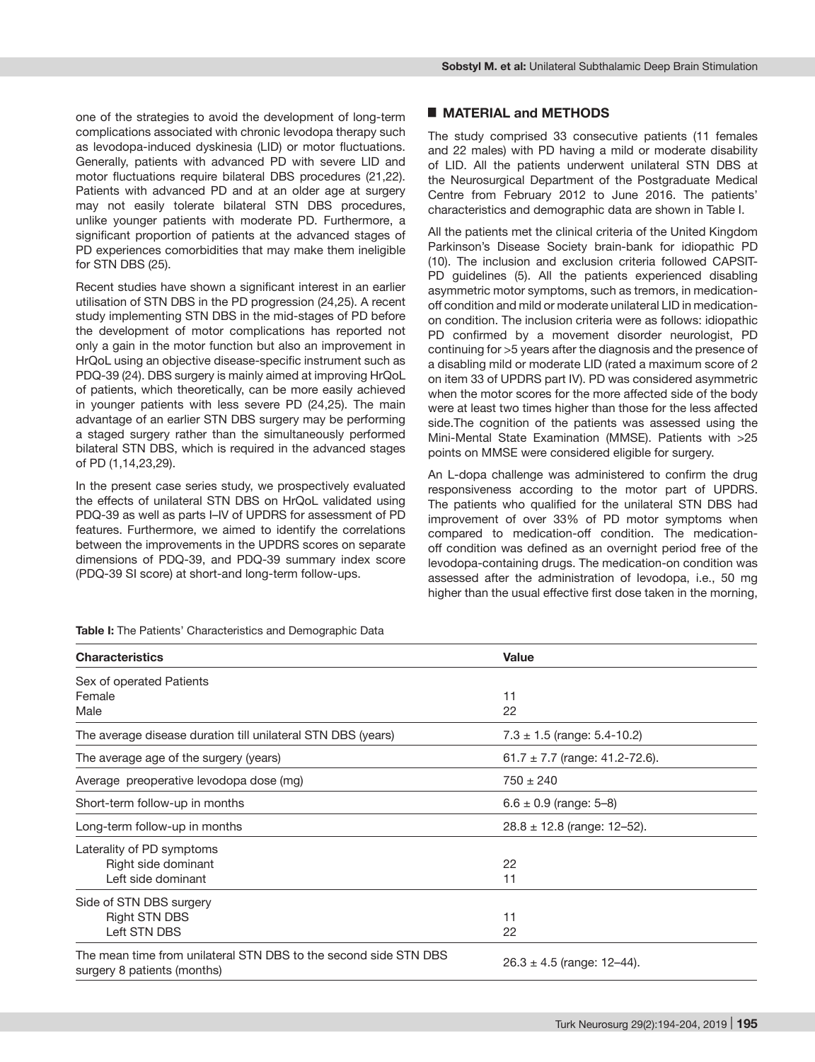one of the strategies to avoid the development of long-term complications associated with chronic levodopa therapy such as levodopa-induced dyskinesia (LID) or motor fluctuations. Generally, patients with advanced PD with severe LID and motor fluctuations require bilateral DBS procedures (21,22). Patients with advanced PD and at an older age at surgery may not easily tolerate bilateral STN DBS procedures, unlike younger patients with moderate PD. Furthermore, a significant proportion of patients at the advanced stages of PD experiences comorbidities that may make them ineligible for STN DBS (25).

Recent studies have shown a significant interest in an earlier utilisation of STN DBS in the PD progression (24,25). A recent study implementing STN DBS in the mid-stages of PD before the development of motor complications has reported not only a gain in the motor function but also an improvement in HrQoL using an objective disease-specific instrument such as PDQ-39 (24). DBS surgery is mainly aimed at improving HrQoL of patients, which theoretically, can be more easily achieved in younger patients with less severe PD (24,25). The main advantage of an earlier STN DBS surgery may be performing a staged surgery rather than the simultaneously performed bilateral STN DBS, which is required in the advanced stages of PD (1,14,23,29).

In the present case series study, we prospectively evaluated the effects of unilateral STN DBS on HrQoL validated using PDQ-39 as well as parts I–IV of UPDRS for assessment of PD features. Furthermore, we aimed to identify the correlations between the improvements in the UPDRS scores on separate dimensions of PDQ-39, and PDQ-39 summary index score (PDQ-39 SI score) at short-and long-term follow-ups.

**Table I:** The Patients' Characteristics and Demographic Data

| <b>Characteristics</b>                                                                          | Value                              |  |  |  |
|-------------------------------------------------------------------------------------------------|------------------------------------|--|--|--|
| Sex of operated Patients                                                                        |                                    |  |  |  |
| Female                                                                                          | 11                                 |  |  |  |
| Male                                                                                            | 22                                 |  |  |  |
| The average disease duration till unilateral STN DBS (years)                                    | $7.3 \pm 1.5$ (range: 5.4-10.2)    |  |  |  |
| The average age of the surgery (years)                                                          | 61.7 $\pm$ 7.7 (range: 41.2-72.6). |  |  |  |
| Average preoperative levodopa dose (mg)                                                         | $750 \pm 240$                      |  |  |  |
| Short-term follow-up in months                                                                  | $6.6 \pm 0.9$ (range: 5-8)         |  |  |  |
| Long-term follow-up in months                                                                   | $28.8 \pm 12.8$ (range: 12-52).    |  |  |  |
| Laterality of PD symptoms                                                                       |                                    |  |  |  |
| Right side dominant                                                                             | 22                                 |  |  |  |
| Left side dominant                                                                              | 11                                 |  |  |  |
| Side of STN DBS surgery                                                                         |                                    |  |  |  |
| <b>Right STN DBS</b>                                                                            | 11                                 |  |  |  |
| Left STN DBS                                                                                    | 22                                 |  |  |  |
| The mean time from unilateral STN DBS to the second side STN DBS<br>surgery 8 patients (months) | $26.3 \pm 4.5$ (range: 12-44).     |  |  |  |

The study comprised 33 consecutive patients (11 females and 22 males) with PD having a mild or moderate disability of LID. All the patients underwent unilateral STN DBS at the Neurosurgical Department of the Postgraduate Medical Centre from February 2012 to June 2016. The patients' characteristics and demographic data are shown in Table I.

All the patients met the clinical criteria of the United Kingdom Parkinson's Disease Society brain-bank for idiopathic PD (10). The inclusion and exclusion criteria followed CAPSIT-PD guidelines (5). All the patients experienced disabling asymmetric motor symptoms, such as tremors, in medicationoff condition and mild or moderate unilateral LID in medicationon condition. The inclusion criteria were as follows: idiopathic PD confirmed by a movement disorder neurologist, PD continuing for >5 years after the diagnosis and the presence of a disabling mild or moderate LID (rated a maximum score of 2 on item 33 of UPDRS part IV). PD was considered asymmetric when the motor scores for the more affected side of the body were at least two times higher than those for the less affected side.The cognition of the patients was assessed using the Mini-Mental State Examination (MMSE). Patients with >25 points on MMSE were considered eligible for surgery.

An L-dopa challenge was administered to confirm the drug responsiveness according to the motor part of UPDRS. The patients who qualified for the unilateral STN DBS had improvement of over 33% of PD motor symptoms when compared to medication-off condition. The medicationoff condition was defined as an overnight period free of the levodopa-containing drugs. The medication-on condition was assessed after the administration of levodopa, i.e., 50 mg higher than the usual effective first dose taken in the morning,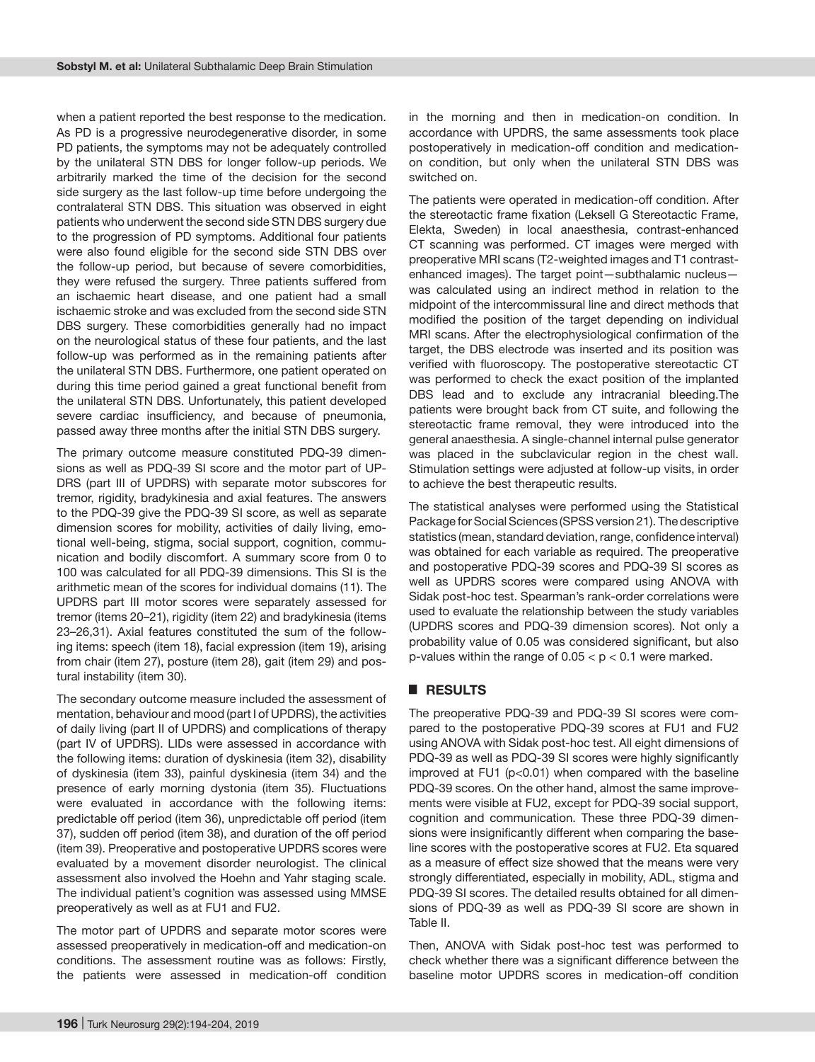when a patient reported the best response to the medication. As PD is a progressive neurodegenerative disorder, in some PD patients, the symptoms may not be adequately controlled by the unilateral STN DBS for longer follow-up periods. We arbitrarily marked the time of the decision for the second side surgery as the last follow-up time before undergoing the contralateral STN DBS. This situation was observed in eight patients who underwent the second side STN DBS surgery due to the progression of PD symptoms. Additional four patients were also found eligible for the second side STN DBS over the follow-up period, but because of severe comorbidities, they were refused the surgery. Three patients suffered from an ischaemic heart disease, and one patient had a small ischaemic stroke and was excluded from the second side STN DBS surgery. These comorbidities generally had no impact on the neurological status of these four patients, and the last follow-up was performed as in the remaining patients after the unilateral STN DBS. Furthermore, one patient operated on during this time period gained a great functional benefit from the unilateral STN DBS. Unfortunately, this patient developed severe cardiac insufficiency, and because of pneumonia, passed away three months after the initial STN DBS surgery.

The primary outcome measure constituted PDQ-39 dimensions as well as PDQ-39 SI score and the motor part of UP-DRS (part III of UPDRS) with separate motor subscores for tremor, rigidity, bradykinesia and axial features. The answers to the PDQ-39 give the PDQ-39 SI score, as well as separate dimension scores for mobility, activities of daily living, emotional well-being, stigma, social support, cognition, communication and bodily discomfort. A summary score from 0 to 100 was calculated for all PDQ-39 dimensions. This SI is the arithmetic mean of the scores for individual domains (11). The UPDRS part III motor scores were separately assessed for tremor (items 20–21), rigidity (item 22) and bradykinesia (items 23–26,31). Axial features constituted the sum of the following items: speech (item 18), facial expression (item 19), arising from chair (item 27), posture (item 28), gait (item 29) and postural instability (item 30).

The secondary outcome measure included the assessment of mentation, behaviour and mood (part I of UPDRS), the activities of daily living (part II of UPDRS) and complications of therapy (part IV of UPDRS). LIDs were assessed in accordance with the following items: duration of dyskinesia (item 32), disability of dyskinesia (item 33), painful dyskinesia (item 34) and the presence of early morning dystonia (item 35). Fluctuations were evaluated in accordance with the following items: predictable off period (item 36), unpredictable off period (item 37), sudden off period (item 38), and duration of the off period (item 39). Preoperative and postoperative UPDRS scores were evaluated by a movement disorder neurologist. The clinical assessment also involved the Hoehn and Yahr staging scale. The individual patient's cognition was assessed using MMSE preoperatively as well as at FU1 and FU2.

The motor part of UPDRS and separate motor scores were assessed preoperatively in medication-off and medication-on conditions. The assessment routine was as follows: Firstly, the patients were assessed in medication-off condition

in the morning and then in medication-on condition. In accordance with UPDRS, the same assessments took place postoperatively in medication-off condition and medicationon condition, but only when the unilateral STN DBS was switched on.

The patients were operated in medication-off condition. After the stereotactic frame fixation (Leksell G Stereotactic Frame, Elekta, Sweden) in local anaesthesia, contrast-enhanced CT scanning was performed. CT images were merged with preoperative MRI scans (T2-weighted images and T1 contrastenhanced images). The target point—subthalamic nucleus was calculated using an indirect method in relation to the midpoint of the intercommissural line and direct methods that modified the position of the target depending on individual MRI scans. After the electrophysiological confirmation of the target, the DBS electrode was inserted and its position was verified with fluoroscopy. The postoperative stereotactic CT was performed to check the exact position of the implanted DBS lead and to exclude any intracranial bleeding.The patients were brought back from CT suite, and following the stereotactic frame removal, they were introduced into the general anaesthesia. A single-channel internal pulse generator was placed in the subclavicular region in the chest wall. Stimulation settings were adjusted at follow-up visits, in order to achieve the best therapeutic results.

The statistical analyses were performed using the Statistical Package for Social Sciences (SPSS version 21). The descriptive statistics (mean, standard deviation, range, confidence interval) was obtained for each variable as required. The preoperative and postoperative PDQ-39 scores and PDQ-39 SI scores as well as UPDRS scores were compared using ANOVA with Sidak post-hoc test. Spearman's rank-order correlations were used to evaluate the relationship between the study variables (UPDRS scores and PDQ-39 dimension scores). Not only a probability value of 0.05 was considered significant, but also p-values within the range of  $0.05 < p < 0.1$  were marked.

#### █ **RESULTS**

The preoperative PDQ-39 and PDQ-39 SI scores were compared to the postoperative PDQ-39 scores at FU1 and FU2 using ANOVA with Sidak post-hoc test. All eight dimensions of PDQ-39 as well as PDQ-39 SI scores were highly significantly improved at FU1 (p<0.01) when compared with the baseline PDQ-39 scores. On the other hand, almost the same improvements were visible at FU2, except for PDQ-39 social support, cognition and communication. These three PDQ-39 dimensions were insignificantly different when comparing the baseline scores with the postoperative scores at FU2. Eta squared as a measure of effect size showed that the means were very strongly differentiated, especially in mobility, ADL, stigma and PDQ-39 SI scores. The detailed results obtained for all dimensions of PDQ-39 as well as PDQ-39 SI score are shown in Table II.

Then, ANOVA with Sidak post-hoc test was performed to check whether there was a significant difference between the baseline motor UPDRS scores in medication-off condition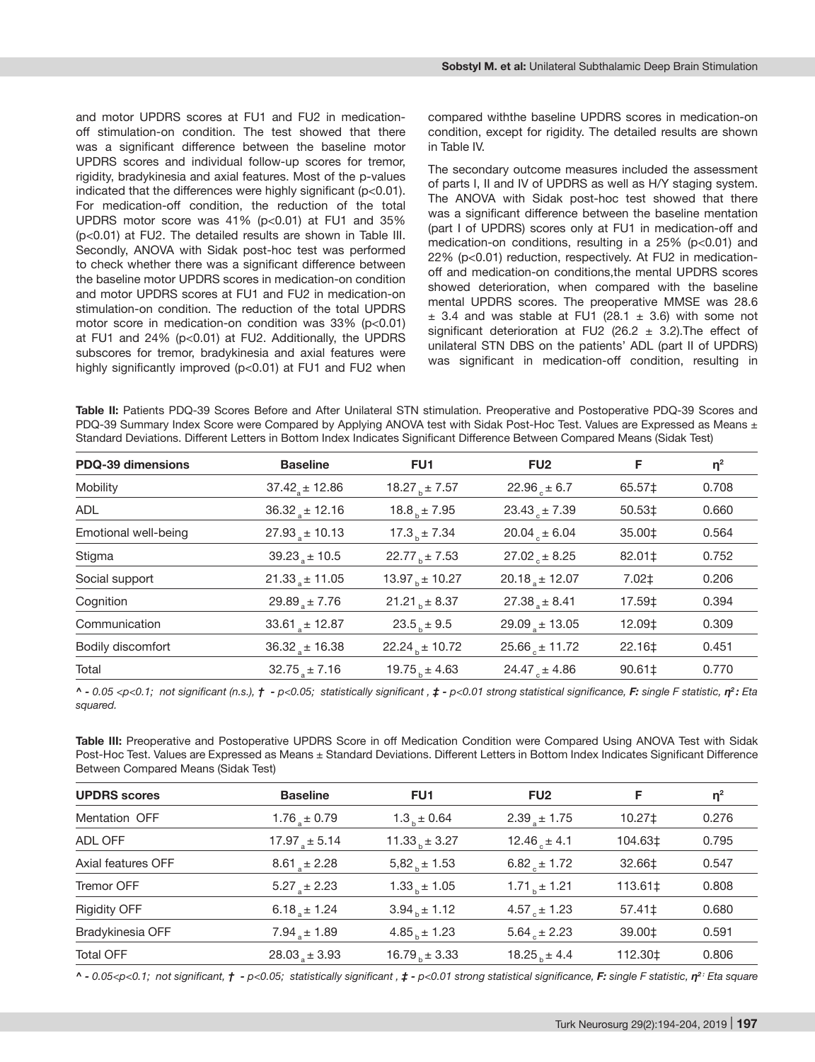and motor UPDRS scores at FU1 and FU2 in medicationoff stimulation-on condition. The test showed that there was a significant difference between the baseline motor UPDRS scores and individual follow-up scores for tremor, rigidity, bradykinesia and axial features. Most of the p-values indicated that the differences were highly significant (p<0.01). For medication-off condition, the reduction of the total UPDRS motor score was 41% (p<0.01) at FU1 and 35% (p<0.01) at FU2. The detailed results are shown in Table III. Secondly, ANOVA with Sidak post-hoc test was performed to check whether there was a significant difference between the baseline motor UPDRS scores in medication-on condition and motor UPDRS scores at FU1 and FU2 in medication-on stimulation-on condition. The reduction of the total UPDRS motor score in medication-on condition was 33% (p<0.01) at FU1 and 24% (p<0.01) at FU2. Additionally, the UPDRS subscores for tremor, bradykinesia and axial features were highly significantly improved (p<0.01) at FU1 and FU2 when

compared withthe baseline UPDRS scores in medication-on condition, except for rigidity. The detailed results are shown in Table IV.

The secondary outcome measures included the assessment of parts I, II and IV of UPDRS as well as H/Y staging system. The ANOVA with Sidak post-hoc test showed that there was a significant difference between the baseline mentation (part I of UPDRS) scores only at FU1 in medication-off and medication-on conditions, resulting in a 25% (p<0.01) and 22% (p<0.01) reduction, respectively. At FU2 in medicationoff and medication-on conditions,the mental UPDRS scores showed deterioration, when compared with the baseline mental UPDRS scores. The preoperative MMSE was 28.6  $\pm$  3.4 and was stable at FU1 (28.1  $\pm$  3.6) with some not significant deterioration at FU2 (26.2  $\pm$  3.2). The effect of unilateral STN DBS on the patients' ADL (part II of UPDRS) was significant in medication-off condition, resulting in

**Table II:** Patients PDQ-39 Scores Before and After Unilateral STN stimulation. Preoperative and Postoperative PDQ-39 Scores and PDQ-39 Summary Index Score were Compared by Applying ANOVA test with Sidak Post-Hoc Test. Values are Expressed as Means ± Standard Deviations. Different Letters in Bottom Index Indicates Significant Difference Between Compared Means (Sidak Test)

| PDQ-39 dimensions    | <b>Baseline</b>              | FU1                   | FU <sub>2</sub>              | F.              | $\eta^2$ |
|----------------------|------------------------------|-----------------------|------------------------------|-----------------|----------|
| Mobility             | $37.42$ <sub>s</sub> ± 12.86 | 18.27 $_{h}$ ± 7.57   | 22.96 $\pm$ 6.7              | 65.57‡          | 0.708    |
| ADL                  | $36.32_{\circ} \pm 12.16$    | $18.8b \pm 7.95$      | $23.43 + 7.39$               | 50.53‡          | 0.660    |
| Emotional well-being | $27.93_{\circ} \pm 10.13$    | $17.3b \pm 7.34$      | $20.04 \pm 6.04$             | 35.00‡          | 0.564    |
| Stigma               | $39.23_{\circ} \pm 10.5$     | 22.77 $_{h} \pm 7.53$ | $27.02 + 8.25$               | 82.01‡          | 0.752    |
| Social support       | $21.33 + 11.05$              | 13.97 $_{h}$ ± 10.27  | $20.18$ <sub>s</sub> ± 12.07 | $7.02 \ddagger$ | 0.206    |
| Cognition            | $29.89$ <sub>s</sub> ± 7.76  | $21.21b \pm 8.37$     | $27.38 + 8.41$               | 17.59‡          | 0.394    |
| Communication        | 33.61 $\pm$ 12.87            | $23.5b \pm 9.5$       | $29.09_{\text{g}} \pm 13.05$ | 12.09‡          | 0.309    |
| Bodily discomfort    | $36.32_{\circ} \pm 16.38$    | $22.24b \pm 10.72$    | $25.66_{e} \pm 11.72$        | 22.16‡          | 0.451    |
| Total                | $32.75 + 7.16$               | 19.75 $_{h}$ ± 4.63   | 24.47 $_{c}$ ± 4.86          | $90.61 \pm$     | 0.770    |

^ - 0.05 <p<0.1; not significant (n.s.),  $\dot{\tau}$  - p<0.05; statistically significant ,  $\dot{\tau}$  - p<0.01 strong statistical significance, F: single F statistic,  $\eta^2$ : Eta *squared.*

**Table III:** Preoperative and Postoperative UPDRS Score in off Medication Condition were Compared Using ANOVA Test with Sidak Post-Hoc Test. Values are Expressed as Means ± Standard Deviations. Different Letters in Bottom Index Indicates Significant Difference Between Compared Means (Sidak Test)

| <b>UPDRS</b> scores | <b>Baseline</b>             | FU <sub>1</sub>   | FU <sub>2</sub>         | F           | $\eta^2$ |
|---------------------|-----------------------------|-------------------|-------------------------|-------------|----------|
| Mentation OFF       | $1.76_{\circ} \pm 0.79$     | $1.3b \pm 0.64$   | $2.39a \pm 1.75$        | $10.27+$    | 0.276    |
| ADL OFF             | $17.97$ <sub>2</sub> ± 5.14 | $11.33b \pm 3.27$ | 12.46 $\pm$ 4.1         | 104.63‡     | 0.795    |
| Axial features OFF  | $8.61$ <sub>s</sub> ± 2.28  | $5,82b \pm 1.53$  | $6.82_{\circ} \pm 1.72$ | 32.66‡      | 0.547    |
| <b>Tremor OFF</b>   | $5.27_{\circ} \pm 2.23$     | $1.33b \pm 1.05$  | $1.71b \pm 1.21$        | 113.61‡     | 0.808    |
| <b>Rigidity OFF</b> | $6.18a \pm 1.24$            | $3.94b \pm 1.12$  | $4.57 \div 1.23$        | $57.41 \pm$ | 0.680    |
| Bradykinesia OFF    | $7.94_{\circ} \pm 1.89$     | $4.85b \pm 1.23$  | $5.64_{\circ} \pm 2.23$ | 39.00‡      | 0.591    |
| <b>Total OFF</b>    | $28.03 \pm 3.93$            | $16.79b \pm 3.33$ | $18.25 + 4.4$           | 112.30‡     | 0.806    |

^ - 0.05<p<0.1; not significant,  $\dot{\tau}$  - p<0.05; statistically significant,  $\dot{\tau}$  - p<0.01 strong statistical significance, F: single F statistic,  $\eta^2$ : Eta square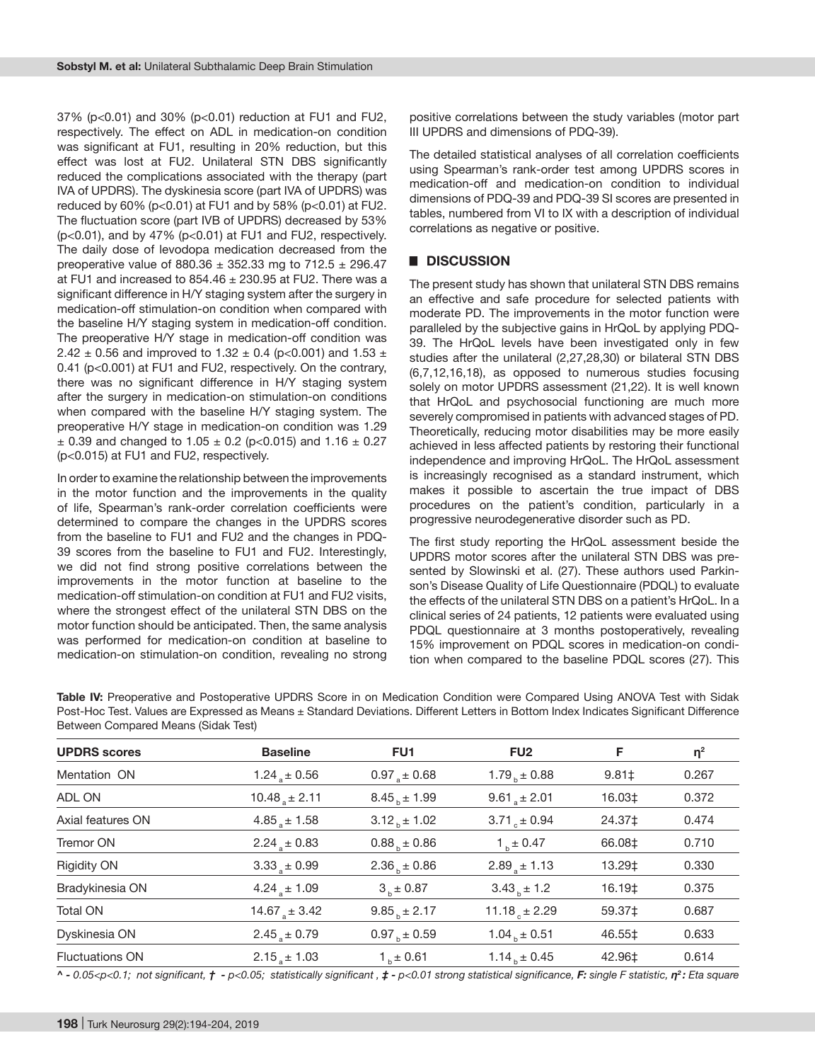37% (p<0.01) and 30% (p<0.01) reduction at FU1 and FU2, respectively. The effect on ADL in medication-on condition was significant at FU1, resulting in 20% reduction, but this effect was lost at FU2. Unilateral STN DBS significantly reduced the complications associated with the therapy (part IVA of UPDRS). The dyskinesia score (part IVA of UPDRS) was reduced by 60% (p<0.01) at FU1 and by 58% (p<0.01) at FU2. The fluctuation score (part IVB of UPDRS) decreased by 53% (p<0.01), and by 47% (p<0.01) at FU1 and FU2, respectively. The daily dose of levodopa medication decreased from the preoperative value of 880.36  $\pm$  352.33 mg to 712.5  $\pm$  296.47 at FU1 and increased to  $854.46 \pm 230.95$  at FU2. There was a significant difference in H/Y staging system after the surgery in medication-off stimulation-on condition when compared with the baseline H/Y staging system in medication-off condition. The preoperative H/Y stage in medication-off condition was 2.42  $\pm$  0.56 and improved to 1.32  $\pm$  0.4 (p<0.001) and 1.53  $\pm$ 0.41 (p<0.001) at FU1 and FU2, respectively. On the contrary, there was no significant difference in H/Y staging system after the surgery in medication-on stimulation-on conditions when compared with the baseline H/Y staging system. The preoperative H/Y stage in medication-on condition was 1.29  $\pm$  0.39 and changed to 1.05  $\pm$  0.2 (p<0.015) and 1.16  $\pm$  0.27 (p<0.015) at FU1 and FU2, respectively.

In order to examine the relationship between the improvements in the motor function and the improvements in the quality of life, Spearman's rank-order correlation coefficients were determined to compare the changes in the UPDRS scores from the baseline to FU1 and FU2 and the changes in PDQ-39 scores from the baseline to FU1 and FU2. Interestingly, we did not find strong positive correlations between the improvements in the motor function at baseline to the medication-off stimulation-on condition at FU1 and FU2 visits, where the strongest effect of the unilateral STN DBS on the motor function should be anticipated. Then, the same analysis was performed for medication-on condition at baseline to medication-on stimulation-on condition, revealing no strong positive correlations between the study variables (motor part III UPDRS and dimensions of PDQ-39).

The detailed statistical analyses of all correlation coefficients using Spearman's rank-order test among UPDRS scores in medication-off and medication-on condition to individual dimensions of PDQ-39 and PDQ-39 SI scores are presented in tables, numbered from VI to IX with a description of individual correlations as negative or positive.

## █ **DISCUSSION**

The present study has shown that unilateral STN DBS remains an effective and safe procedure for selected patients with moderate PD. The improvements in the motor function were paralleled by the subjective gains in HrQoL by applying PDQ-39. The HrQoL levels have been investigated only in few studies after the unilateral (2,27,28,30) or bilateral STN DBS (6,7,12,16,18), as opposed to numerous studies focusing solely on motor UPDRS assessment (21,22). It is well known that HrQoL and psychosocial functioning are much more severely compromised in patients with advanced stages of PD. Theoretically, reducing motor disabilities may be more easily achieved in less affected patients by restoring their functional independence and improving HrQoL. The HrQoL assessment is increasingly recognised as a standard instrument, which makes it possible to ascertain the true impact of DBS procedures on the patient's condition, particularly in a progressive neurodegenerative disorder such as PD.

The first study reporting the HrQoL assessment beside the UPDRS motor scores after the unilateral STN DBS was presented by Slowinski et al. (27). These authors used Parkinson's Disease Quality of Life Questionnaire (PDQL) to evaluate the effects of the unilateral STN DBS on a patient's HrQoL. In a clinical series of 24 patients, 12 patients were evaluated using PDQL questionnaire at 3 months postoperatively, revealing 15% improvement on PDQL scores in medication-on condition when compared to the baseline PDQL scores (27). This

Table IV: Preoperative and Postoperative UPDRS Score in on Medication Condition were Compared Using ANOVA Test with Sidak Post-Hoc Test. Values are Expressed as Means ± Standard Deviations. Different Letters in Bottom Index Indicates Significant Difference Between Compared Means (Sidak Test)

| <b>UPDRS</b> scores    | <b>Baseline</b>                | FU <sub>1</sub>         | FU <sub>2</sub>            | F          | $\eta^2$ |
|------------------------|--------------------------------|-------------------------|----------------------------|------------|----------|
| Mentation ON           | 1.24 $\pm$ 0.56                | $0.97_{\circ} \pm 0.68$ | 1.79 $_{h}$ ± 0.88         | $9.81 \pm$ | 0.267    |
| ADL ON                 | $10.48$ <sub>s</sub> ± 2.11    | $8.45b \pm 1.99$        | $9.61$ <sub>s</sub> ± 2.01 | 16.03‡     | 0.372    |
| Axial features ON      | $4.85$ <sub>s</sub> $\pm 1.58$ | $3.12b \pm 1.02$        | $3.71 \div 0.94$           | 24.37‡     | 0.474    |
| Tremor ON              | $2.24_{\circ} \pm 0.83$        | $0.88b \pm 0.86$        | $1b \pm 0.47$              | 66.08‡     | 0.710    |
| <b>Rigidity ON</b>     | $3.33 \pm 0.99$                | $2.36b \pm 0.86$        | $2.89a \pm 1.13$           | 13.29‡     | 0.330    |
| Bradykinesia ON        | 4.24 $\pm$ 1.09                | $3.1 + 0.87$            | $3.43b \pm 1.2$            | 16.19‡     | 0.375    |
| <b>Total ON</b>        | $14.67$ <sub>s</sub> ± 3.42    | $9.85b \pm 2.17$        | $11.18 + 2.29$             | 59.37‡     | 0.687    |
| Dyskinesia ON          | $2.45_{\circ} \pm 0.79$        | $0.97b \pm 0.59$        | $1.04b \pm 0.51$           | 46.55‡     | 0.633    |
| <b>Fluctuations ON</b> | $2.15 + 1.03$                  | $1b \pm 0.61$           | 1.14 $_{h}$ ± 0.45         | 42.96‡     | 0.614    |

^ - 0.05<p<0.1; not significant,  $\dot{r}$  - p<0.05; statistically significant,  $\dot{r}$  - p<0.01 strong statistical significance, F: single F statistic,  $\eta^2$ : Eta square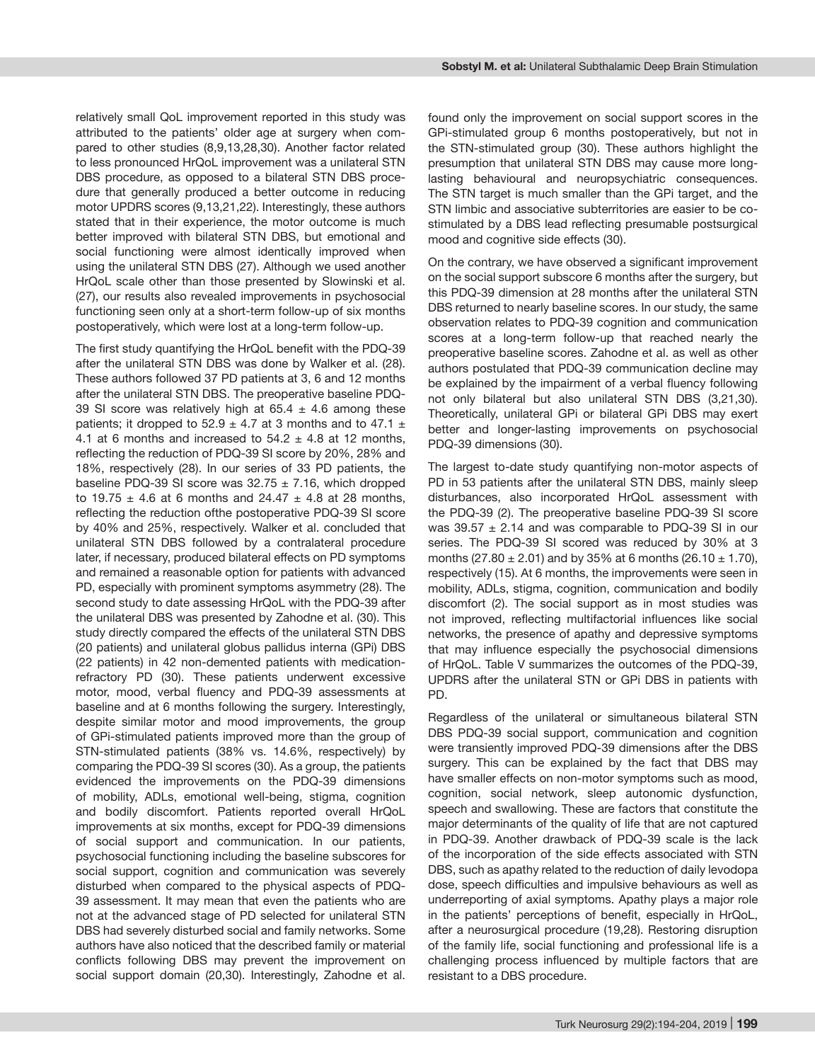relatively small QoL improvement reported in this study was attributed to the patients' older age at surgery when compared to other studies (8,9,13,28,30). Another factor related to less pronounced HrQoL improvement was a unilateral STN DBS procedure, as opposed to a bilateral STN DBS procedure that generally produced a better outcome in reducing motor UPDRS scores (9,13,21,22). Interestingly, these authors stated that in their experience, the motor outcome is much better improved with bilateral STN DBS, but emotional and social functioning were almost identically improved when using the unilateral STN DBS (27). Although we used another HrQoL scale other than those presented by Slowinski et al. (27), our results also revealed improvements in psychosocial functioning seen only at a short-term follow-up of six months postoperatively, which were lost at a long-term follow-up.

The first study quantifying the HrQoL benefit with the PDQ-39 after the unilateral STN DBS was done by Walker et al. (28). These authors followed 37 PD patients at 3, 6 and 12 months after the unilateral STN DBS. The preoperative baseline PDQ-39 SI score was relatively high at  $65.4 \pm 4.6$  among these patients; it dropped to 52.9  $\pm$  4.7 at 3 months and to 47.1  $\pm$ 4.1 at 6 months and increased to  $54.2 \pm 4.8$  at 12 months, reflecting the reduction of PDQ-39 SI score by 20%, 28% and 18%, respectively (28). In our series of 33 PD patients, the baseline PDQ-39 SI score was  $32.75 \pm 7.16$ , which dropped to 19.75  $\pm$  4.6 at 6 months and 24.47  $\pm$  4.8 at 28 months, reflecting the reduction ofthe postoperative PDQ-39 SI score by 40% and 25%, respectively. Walker et al. concluded that unilateral STN DBS followed by a contralateral procedure later, if necessary, produced bilateral effects on PD symptoms and remained a reasonable option for patients with advanced PD, especially with prominent symptoms asymmetry (28). The second study to date assessing HrQoL with the PDQ-39 after the unilateral DBS was presented by Zahodne et al. (30). This study directly compared the effects of the unilateral STN DBS (20 patients) and unilateral globus pallidus interna (GPi) DBS (22 patients) in 42 non-demented patients with medicationrefractory PD (30). These patients underwent excessive motor, mood, verbal fluency and PDQ-39 assessments at baseline and at 6 months following the surgery. Interestingly, despite similar motor and mood improvements, the group of GPi-stimulated patients improved more than the group of STN-stimulated patients (38% vs. 14.6%, respectively) by comparing the PDQ-39 SI scores (30). As a group, the patients evidenced the improvements on the PDQ-39 dimensions of mobility, ADLs, emotional well-being, stigma, cognition and bodily discomfort. Patients reported overall HrQoL improvements at six months, except for PDQ-39 dimensions of social support and communication. In our patients, psychosocial functioning including the baseline subscores for social support, cognition and communication was severely disturbed when compared to the physical aspects of PDQ-39 assessment. It may mean that even the patients who are not at the advanced stage of PD selected for unilateral STN DBS had severely disturbed social and family networks. Some authors have also noticed that the described family or material conflicts following DBS may prevent the improvement on social support domain (20,30). Interestingly, Zahodne et al.

found only the improvement on social support scores in the GPi-stimulated group 6 months postoperatively, but not in the STN-stimulated group (30). These authors highlight the presumption that unilateral STN DBS may cause more longlasting behavioural and neuropsychiatric consequences. The STN target is much smaller than the GPi target, and the STN limbic and associative subterritories are easier to be costimulated by a DBS lead reflecting presumable postsurgical mood and cognitive side effects (30).

On the contrary, we have observed a significant improvement on the social support subscore 6 months after the surgery, but this PDQ-39 dimension at 28 months after the unilateral STN DBS returned to nearly baseline scores. In our study, the same observation relates to PDQ-39 cognition and communication scores at a long-term follow-up that reached nearly the preoperative baseline scores. Zahodne et al. as well as other authors postulated that PDQ-39 communication decline may be explained by the impairment of a verbal fluency following not only bilateral but also unilateral STN DBS (3,21,30). Theoretically, unilateral GPi or bilateral GPi DBS may exert better and longer-lasting improvements on psychosocial PDQ-39 dimensions (30).

The largest to-date study quantifying non-motor aspects of PD in 53 patients after the unilateral STN DBS, mainly sleep disturbances, also incorporated HrQoL assessment with the PDQ-39 (2). The preoperative baseline PDQ-39 SI score was  $39.57 \pm 2.14$  and was comparable to PDQ-39 SI in our series. The PDQ-39 SI scored was reduced by 30% at 3 months (27.80  $\pm$  2.01) and by 35% at 6 months (26.10  $\pm$  1.70), respectively (15). At 6 months, the improvements were seen in mobility, ADLs, stigma, cognition, communication and bodily discomfort (2). The social support as in most studies was not improved, reflecting multifactorial influences like social networks, the presence of apathy and depressive symptoms that may influence especially the psychosocial dimensions of HrQoL. Table V summarizes the outcomes of the PDQ-39, UPDRS after the unilateral STN or GPi DBS in patients with PD.

Regardless of the unilateral or simultaneous bilateral STN DBS PDQ-39 social support, communication and cognition were transiently improved PDQ-39 dimensions after the DBS surgery. This can be explained by the fact that DBS may have smaller effects on non-motor symptoms such as mood, cognition, social network, sleep autonomic dysfunction, speech and swallowing. These are factors that constitute the major determinants of the quality of life that are not captured in PDQ-39. Another drawback of PDQ-39 scale is the lack of the incorporation of the side effects associated with STN DBS, such as apathy related to the reduction of daily levodopa dose, speech difficulties and impulsive behaviours as well as underreporting of axial symptoms. Apathy plays a major role in the patients' perceptions of benefit, especially in HrQoL, after a neurosurgical procedure (19,28). Restoring disruption of the family life, social functioning and professional life is a challenging process influenced by multiple factors that are resistant to a DBS procedure.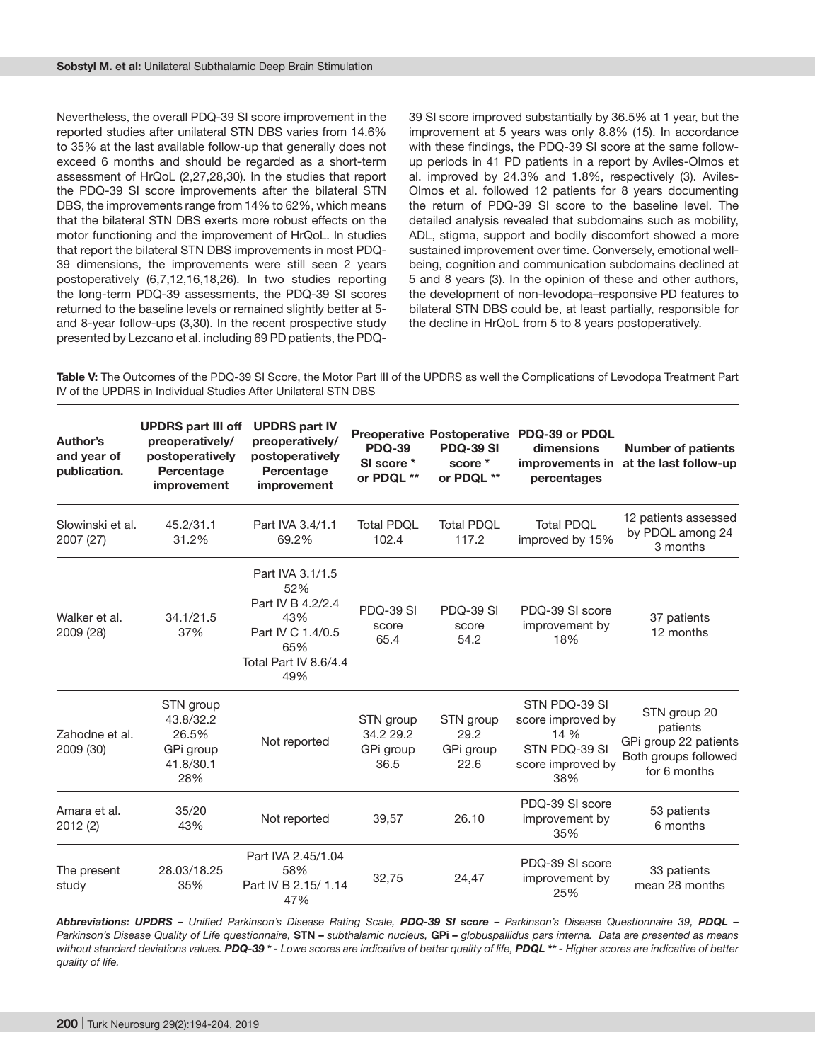Nevertheless, the overall PDQ-39 SI score improvement in the reported studies after unilateral STN DBS varies from 14.6% to 35% at the last available follow-up that generally does not exceed 6 months and should be regarded as a short-term assessment of HrQoL (2,27,28,30). In the studies that report the PDQ-39 SI score improvements after the bilateral STN DBS, the improvements range from 14% to 62%, which means that the bilateral STN DBS exerts more robust effects on the motor functioning and the improvement of HrQoL. In studies that report the bilateral STN DBS improvements in most PDQ-39 dimensions, the improvements were still seen 2 years postoperatively (6,7,12,16,18,26). In two studies reporting the long-term PDQ-39 assessments, the PDQ-39 SI scores returned to the baseline levels or remained slightly better at 5 and 8-year follow-ups (3,30). In the recent prospective study presented by Lezcano et al. including 69 PD patients, the PDQ-

39 SI score improved substantially by 36.5% at 1 year, but the improvement at 5 years was only 8.8% (15). In accordance with these findings, the PDQ-39 SI score at the same followup periods in 41 PD patients in a report by Aviles-Olmos et al. improved by 24.3% and 1.8%, respectively (3). Aviles-Olmos et al. followed 12 patients for 8 years documenting the return of PDQ-39 SI score to the baseline level. The detailed analysis revealed that subdomains such as mobility, ADL, stigma, support and bodily discomfort showed a more sustained improvement over time. Conversely, emotional wellbeing, cognition and communication subdomains declined at 5 and 8 years (3). In the opinion of these and other authors, the development of non-levodopa–responsive PD features to bilateral STN DBS could be, at least partially, responsible for the decline in HrQoL from 5 to 8 years postoperatively.

**Table V:** The Outcomes of the PDQ-39 SI Score, the Motor Part III of the UPDRS as well the Complications of Levodopa Treatment Part IV of the UPDRS in Individual Studies After Unilateral STN DBS

| Author's<br>and year of<br>publication. | <b>UPDRS part III off</b><br>preoperatively/<br>postoperatively<br>Percentage<br>improvement | <b>UPDRS part IV</b><br>preoperatively/<br>postoperatively<br>Percentage<br>improvement                         | <b>PDQ-39</b><br>SI score *<br>or PDQL **   | <b>Preoperative Postoperative</b><br><b>PDQ-39 SI</b><br>score *<br>or PDQL ** | PDQ-39 or PDQL<br>dimensions<br>improvements in<br>percentages                          | <b>Number of patients</b><br>at the last follow-up                                        |
|-----------------------------------------|----------------------------------------------------------------------------------------------|-----------------------------------------------------------------------------------------------------------------|---------------------------------------------|--------------------------------------------------------------------------------|-----------------------------------------------------------------------------------------|-------------------------------------------------------------------------------------------|
| Slowinski et al.<br>2007 (27)           | 45.2/31.1<br>31.2%                                                                           | Part IVA 3.4/1.1<br>69.2%                                                                                       | <b>Total PDQL</b><br>102.4                  | <b>Total PDQL</b><br>117.2                                                     | <b>Total PDQL</b><br>improved by 15%                                                    | 12 patients assessed<br>by PDQL among 24<br>3 months                                      |
| Walker et al.<br>2009 (28)              | 34.1/21.5<br>37%                                                                             | Part IVA 3.1/1.5<br>52%<br>Part IV B 4.2/2.4<br>43%<br>Part IV C 1.4/0.5<br>65%<br>Total Part IV 8.6/4.4<br>49% | PDQ-39 SI<br>score<br>65.4                  | PDQ-39 SI<br>score<br>54.2                                                     | PDQ-39 SI score<br>improvement by<br>18%                                                | 37 patients<br>12 months                                                                  |
| Zahodne et al.<br>2009 (30)             | STN group<br>43.8/32.2<br>26.5%<br>GPi group<br>41.8/30.1<br>28%                             | Not reported                                                                                                    | STN group<br>34.2 29.2<br>GPi group<br>36.5 | STN group<br>29.2<br>GPi group<br>22.6                                         | STN PDQ-39 SI<br>score improved by<br>14 %<br>STN PDQ-39 SI<br>score improved by<br>38% | STN group 20<br>patients<br>GPi group 22 patients<br>Both groups followed<br>for 6 months |
| Amara et al.<br>2012 (2)                | 35/20<br>43%                                                                                 | Not reported                                                                                                    | 39,57                                       | 26.10                                                                          | PDQ-39 SI score<br>improvement by<br>35%                                                | 53 patients<br>6 months                                                                   |
| The present<br>study                    | 28.03/18.25<br>35%                                                                           | Part IVA 2.45/1.04<br>58%<br>Part IV B 2.15/ 1.14<br>47%                                                        | 32,75                                       | 24,47                                                                          | PDQ-39 SI score<br>improvement by<br>25%                                                | 33 patients<br>mean 28 months                                                             |

*Abbreviations: UPDRS – Unified Parkinson's Disease Rating Scale, PDQ-39 SI score – Parkinson's Disease Questionnaire 39, PDQL – Parkinson's Disease Quality of Life questionnaire,* **STN –** *subthalamic nucleus,* **GPi –** *globuspallidus pars interna. Data are presented as means*  without standard deviations values. PDQ-39 \* - Lowe scores are indicative of better quality of life, PDQL \*\* - Higher scores are indicative of better *quality of life.*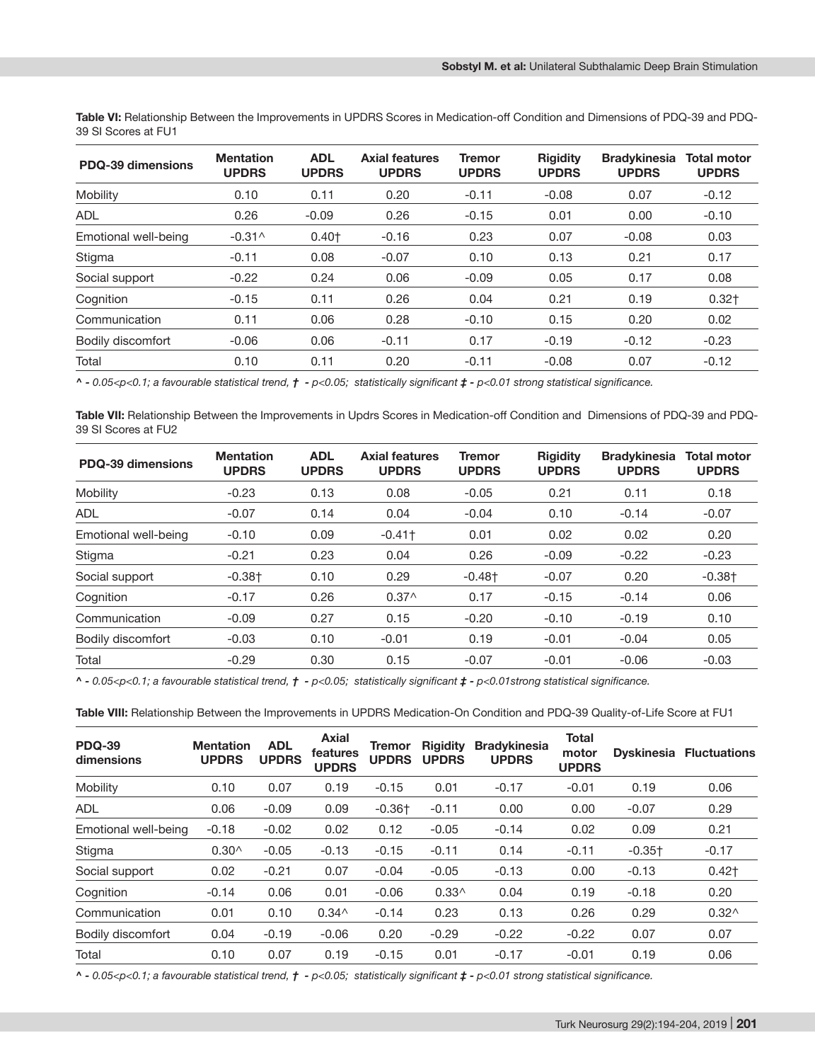**Table VI:** Relationship Between the Improvements in UPDRS Scores in Medication-off Condition and Dimensions of PDQ-39 and PDQ-39 SI Scores at FU1

| PDQ-39 dimensions    | <b>Mentation</b><br><b>UPDRS</b> | <b>ADL</b><br><b>UPDRS</b> | <b>Axial features</b><br><b>UPDRS</b> | <b>Tremor</b><br><b>UPDRS</b> | <b>Rigidity</b><br><b>UPDRS</b> | <b>Bradykinesia</b><br><b>UPDRS</b> | <b>Total motor</b><br><b>UPDRS</b> |
|----------------------|----------------------------------|----------------------------|---------------------------------------|-------------------------------|---------------------------------|-------------------------------------|------------------------------------|
| Mobility             | 0.10                             | 0.11                       | 0.20                                  | $-0.11$                       | $-0.08$                         | 0.07                                | $-0.12$                            |
| ADL                  | 0.26                             | $-0.09$                    | 0.26                                  | $-0.15$                       | 0.01                            | 0.00                                | $-0.10$                            |
| Emotional well-being | $-0.31^$                         | $0.40+$                    | $-0.16$                               | 0.23                          | 0.07                            | $-0.08$                             | 0.03                               |
| Stigma               | $-0.11$                          | 0.08                       | $-0.07$                               | 0.10                          | 0.13                            | 0.21                                | 0.17                               |
| Social support       | $-0.22$                          | 0.24                       | 0.06                                  | $-0.09$                       | 0.05                            | 0.17                                | 0.08                               |
| Cognition            | $-0.15$                          | 0.11                       | 0.26                                  | 0.04                          | 0.21                            | 0.19                                | $0.32+$                            |
| Communication        | 0.11                             | 0.06                       | 0.28                                  | $-0.10$                       | 0.15                            | 0.20                                | 0.02                               |
| Bodily discomfort    | $-0.06$                          | 0.06                       | $-0.11$                               | 0.17                          | $-0.19$                         | $-0.12$                             | $-0.23$                            |
| Total                | 0.10                             | 0.11                       | 0.20                                  | $-0.11$                       | $-0.08$                         | 0.07                                | $-0.12$                            |

*^ - 0.05<p<0.1; a favourable statistical trend, † - p<0.05; statistically significant ‡ - p<0.01 strong statistical significance.*

**Table VII:** Relationship Between the Improvements in Updrs Scores in Medication-off Condition and Dimensions of PDQ-39 and PDQ-39 SI Scores at FU2

| PDQ-39 dimensions    | <b>Mentation</b><br><b>UPDRS</b> | <b>ADL</b><br><b>UPDRS</b> | <b>Axial features</b><br><b>UPDRS</b> | <b>Tremor</b><br><b>UPDRS</b> | <b>Rigidity</b><br><b>UPDRS</b> | <b>Bradykinesia</b><br><b>UPDRS</b> | <b>Total motor</b><br><b>UPDRS</b> |
|----------------------|----------------------------------|----------------------------|---------------------------------------|-------------------------------|---------------------------------|-------------------------------------|------------------------------------|
| Mobility             | $-0.23$                          | 0.13                       | 0.08                                  | $-0.05$                       | 0.21                            | 0.11                                | 0.18                               |
| <b>ADL</b>           | $-0.07$                          | 0.14                       | 0.04                                  | $-0.04$                       | 0.10                            | $-0.14$                             | $-0.07$                            |
| Emotional well-being | $-0.10$                          | 0.09                       | $-0.41$ <sup>+</sup>                  | 0.01                          | 0.02                            | 0.02                                | 0.20                               |
| Stigma               | $-0.21$                          | 0.23                       | 0.04                                  | 0.26                          | $-0.09$                         | $-0.22$                             | $-0.23$                            |
| Social support       | $-0.38+$                         | 0.10                       | 0.29                                  | $-0.48$ <sup>+</sup>          | $-0.07$                         | 0.20                                | $-0.38+$                           |
| Cognition            | $-0.17$                          | 0.26                       | $0.37^$                               | 0.17                          | $-0.15$                         | $-0.14$                             | 0.06                               |
| Communication        | $-0.09$                          | 0.27                       | 0.15                                  | $-0.20$                       | $-0.10$                         | $-0.19$                             | 0.10                               |
| Bodily discomfort    | $-0.03$                          | 0.10                       | $-0.01$                               | 0.19                          | $-0.01$                         | $-0.04$                             | 0.05                               |
| Total                | $-0.29$                          | 0.30                       | 0.15                                  | $-0.07$                       | $-0.01$                         | $-0.06$                             | $-0.03$                            |

*^ - 0.05<p<0.1; a favourable statistical trend, † - p<0.05; statistically significant ‡ - p<0.01strong statistical significance.*

**Table VIII:** Relationship Between the Improvements in UPDRS Medication-On Condition and PDQ-39 Quality-of-Life Score at FU1

| <b>PDQ-39</b><br>dimensions | <b>Mentation</b><br><b>UPDRS</b> | <b>ADL</b><br><b>UPDRS</b> | Axial<br>features<br><b>UPDRS</b> | <b>Tremor</b><br><b>UPDRS</b> | <b>Rigidity</b><br><b>UPDRS</b> | <b>Bradykinesia</b><br><b>UPDRS</b> | <b>Total</b><br>motor<br><b>UPDRS</b> |                      | <b>Dyskinesia Fluctuations</b> |
|-----------------------------|----------------------------------|----------------------------|-----------------------------------|-------------------------------|---------------------------------|-------------------------------------|---------------------------------------|----------------------|--------------------------------|
| Mobility                    | 0.10                             | 0.07                       | 0.19                              | $-0.15$                       | 0.01                            | $-0.17$                             | $-0.01$                               | 0.19                 | 0.06                           |
| <b>ADL</b>                  | 0.06                             | $-0.09$                    | 0.09                              | $-0.36$ <sup>+</sup>          | $-0.11$                         | 0.00                                | 0.00                                  | $-0.07$              | 0.29                           |
| Emotional well-being        | $-0.18$                          | $-0.02$                    | 0.02                              | 0.12                          | $-0.05$                         | $-0.14$                             | 0.02                                  | 0.09                 | 0.21                           |
| Stigma                      | $0.30^$                          | $-0.05$                    | $-0.13$                           | $-0.15$                       | $-0.11$                         | 0.14                                | $-0.11$                               | $-0.35$ <sup>+</sup> | $-0.17$                        |
| Social support              | 0.02                             | $-0.21$                    | 0.07                              | $-0.04$                       | $-0.05$                         | $-0.13$                             | 0.00                                  | $-0.13$              | $0.42+$                        |
| Cognition                   | $-0.14$                          | 0.06                       | 0.01                              | $-0.06$                       | $0.33^$                         | 0.04                                | 0.19                                  | $-0.18$              | 0.20                           |
| Communication               | 0.01                             | 0.10                       | $0.34^$                           | $-0.14$                       | 0.23                            | 0.13                                | 0.26                                  | 0.29                 | $0.32^$                        |
| Bodily discomfort           | 0.04                             | $-0.19$                    | $-0.06$                           | 0.20                          | $-0.29$                         | $-0.22$                             | $-0.22$                               | 0.07                 | 0.07                           |
| Total                       | 0.10                             | 0.07                       | 0.19                              | $-0.15$                       | 0.01                            | $-0.17$                             | $-0.01$                               | 0.19                 | 0.06                           |

*^ - 0.05<p<0.1; a favourable statistical trend, † - p<0.05; statistically significant ‡ - p<0.01 strong statistical significance.*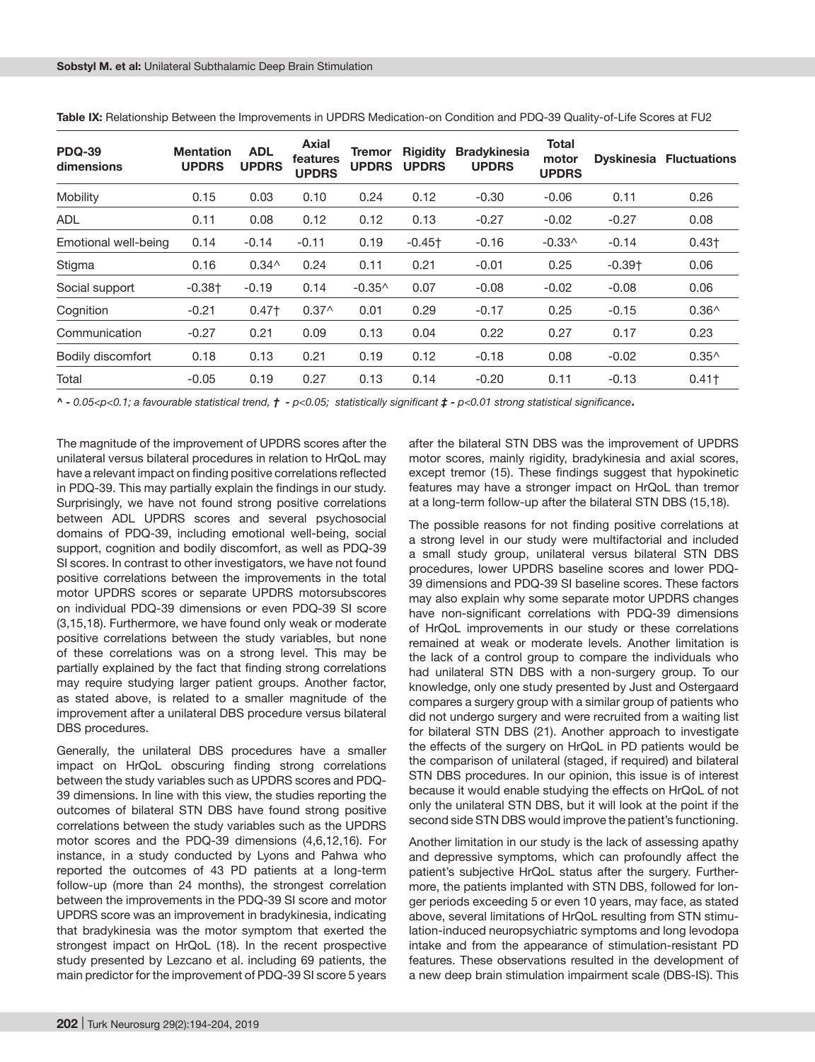| <b>PDQ-39</b><br>dimensions | <b>Mentation</b><br><b>UPDRS</b> | <b>ADL</b><br><b>UPDRS</b> | Axial<br>features<br><b>UPDRS</b> | Tremor<br><b>UPDRS</b> | <b>Rigidity</b><br><b>UPDRS</b> | <b>Bradykinesia</b><br><b>UPDRS</b> | <b>Total</b><br>motor<br><b>UPDRS</b> |          | <b>Dyskinesia Fluctuations</b> |
|-----------------------------|----------------------------------|----------------------------|-----------------------------------|------------------------|---------------------------------|-------------------------------------|---------------------------------------|----------|--------------------------------|
| Mobility                    | 0.15                             | 0.03                       | 0.10                              | 0.24                   | 0.12                            | $-0.30$                             | $-0.06$                               | 0.11     | 0.26                           |
| <b>ADL</b>                  | 0.11                             | 0.08                       | 0.12                              | 0.12                   | 0.13                            | $-0.27$                             | $-0.02$                               | $-0.27$  | 0.08                           |
| Emotional well-being        | 0.14                             | $-0.14$                    | $-0.11$                           | 0.19                   | $-0.45$ <sup>+</sup>            | $-0.16$                             | $-0.33^$                              | $-0.14$  | $0.43+$                        |
| Stigma                      | 0.16                             | $0.34^$                    | 0.24                              | 0.11                   | 0.21                            | $-0.01$                             | 0.25                                  | $-0.39+$ | 0.06                           |
| Social support              | $-0.38$ <sup>+</sup>             | $-0.19$                    | 0.14                              | $-0.35^$               | 0.07                            | $-0.08$                             | $-0.02$                               | $-0.08$  | 0.06                           |
| Cognition                   | $-0.21$                          | $0.47+$                    | $0.37^$                           | 0.01                   | 0.29                            | $-0.17$                             | 0.25                                  | $-0.15$  | $0.36^$                        |
| Communication               | $-0.27$                          | 0.21                       | 0.09                              | 0.13                   | 0.04                            | 0.22                                | 0.27                                  | 0.17     | 0.23                           |
| Bodily discomfort           | 0.18                             | 0.13                       | 0.21                              | 0.19                   | 0.12                            | $-0.18$                             | 0.08                                  | $-0.02$  | $0.35^{\wedge}$                |
| Total                       | $-0.05$                          | 0.19                       | 0.27                              | 0.13                   | 0.14                            | $-0.20$                             | 0.11                                  | $-0.13$  | $0.41$ <sup>+</sup>            |

**Table IX:** Relationship Between the Improvements in UPDRS Medication-on Condition and PDQ-39 Quality-of-Life Scores at FU2

*^ - 0.05<p<0.1; a favourable statistical trend, † - p<0.05; statistically significant ‡ - p<0.01 strong statistical significance***.**

The magnitude of the improvement of UPDRS scores after the unilateral versus bilateral procedures in relation to HrQoL may have a relevant impact on finding positive correlations reflected in PDQ-39. This may partially explain the findings in our study. Surprisingly, we have not found strong positive correlations between ADL UPDRS scores and several psychosocial domains of PDQ-39, including emotional well-being, social support, cognition and bodily discomfort, as well as PDQ-39 SI scores. In contrast to other investigators, we have not found positive correlations between the improvements in the total motor UPDRS scores or separate UPDRS motorsubscores on individual PDQ-39 dimensions or even PDQ-39 SI score (3,15,18). Furthermore, we have found only weak or moderate positive correlations between the study variables, but none of these correlations was on a strong level. This may be partially explained by the fact that finding strong correlations may require studying larger patient groups. Another factor, as stated above, is related to a smaller magnitude of the improvement after a unilateral DBS procedure versus bilateral DBS procedures.

Generally, the unilateral DBS procedures have a smaller impact on HrQoL obscuring finding strong correlations between the study variables such as UPDRS scores and PDQ-39 dimensions. In line with this view, the studies reporting the outcomes of bilateral STN DBS have found strong positive correlations between the study variables such as the UPDRS motor scores and the PDQ-39 dimensions (4,6,12,16). For instance, in a study conducted by Lyons and Pahwa who reported the outcomes of 43 PD patients at a long-term follow-up (more than 24 months), the strongest correlation between the improvements in the PDQ-39 SI score and motor UPDRS score was an improvement in bradykinesia, indicating that bradykinesia was the motor symptom that exerted the strongest impact on HrQoL (18). In the recent prospective study presented by Lezcano et al. including 69 patients, the main predictor for the improvement of PDQ-39 SI score 5 years

after the bilateral STN DBS was the improvement of UPDRS motor scores, mainly rigidity, bradykinesia and axial scores, except tremor (15). These findings suggest that hypokinetic features may have a stronger impact on HrQoL than tremor at a long-term follow-up after the bilateral STN DBS (15,18).

The possible reasons for not finding positive correlations at a strong level in our study were multifactorial and included a small study group, unilateral versus bilateral STN DBS procedures, lower UPDRS baseline scores and lower PDQ-39 dimensions and PDQ-39 SI baseline scores. These factors may also explain why some separate motor UPDRS changes have non-significant correlations with PDQ-39 dimensions of HrQoL improvements in our study or these correlations remained at weak or moderate levels. Another limitation is the lack of a control group to compare the individuals who had unilateral STN DBS with a non-surgery group. To our knowledge, only one study presented by Just and Ostergaard compares a surgery group with a similar group of patients who did not undergo surgery and were recruited from a waiting list for bilateral STN DBS (21). Another approach to investigate the effects of the surgery on HrQoL in PD patients would be the comparison of unilateral (staged, if required) and bilateral STN DBS procedures. In our opinion, this issue is of interest because it would enable studying the effects on HrQoL of not only the unilateral STN DBS, but it will look at the point if the second side STN DBS would improve the patient's functioning.

Another limitation in our study is the lack of assessing apathy and depressive symptoms, which can profoundly affect the patient's subjective HrQoL status after the surgery. Furthermore, the patients implanted with STN DBS, followed for longer periods exceeding 5 or even 10 years, may face, as stated above, several limitations of HrQoL resulting from STN stimulation-induced neuropsychiatric symptoms and long levodopa intake and from the appearance of stimulation-resistant PD features. These observations resulted in the development of a new deep brain stimulation impairment scale (DBS-IS). This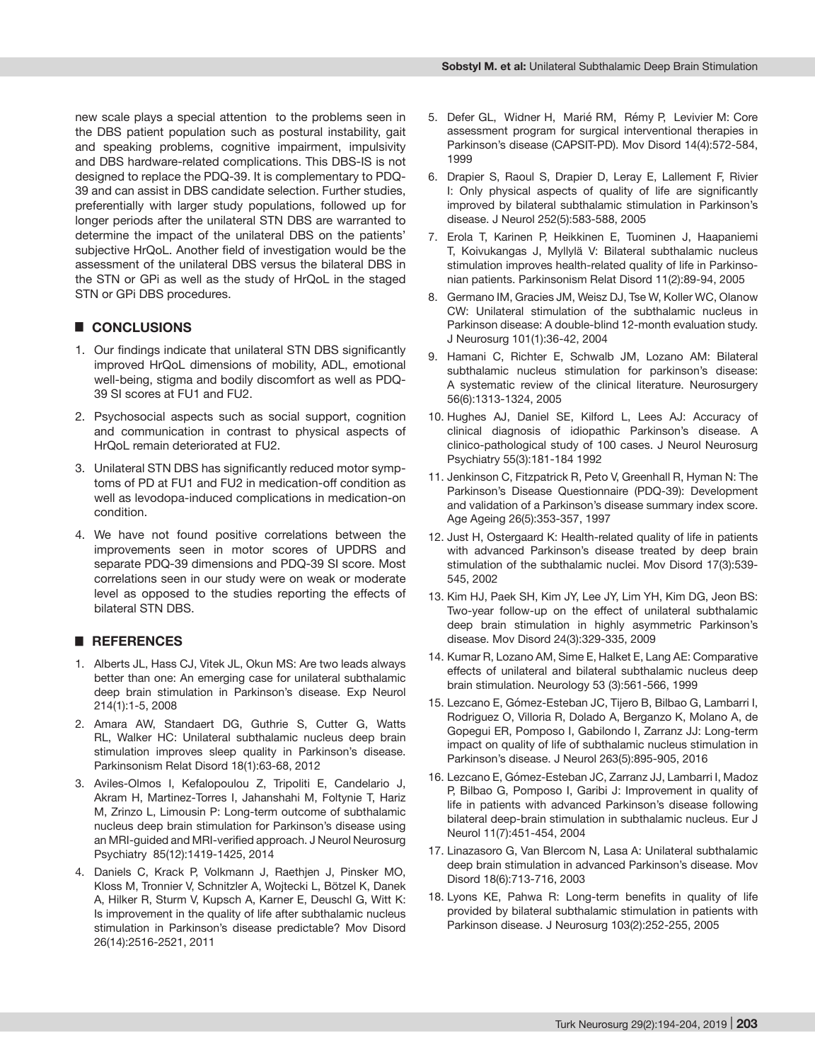new scale plays a special attention to the problems seen in the DBS patient population such as postural instability, gait and speaking problems, cognitive impairment, impulsivity and DBS hardware-related complications. This DBS-IS is not designed to replace the PDQ-39. It is complementary to PDQ-39 and can assist in DBS candidate selection. Further studies, preferentially with larger study populations, followed up for longer periods after the unilateral STN DBS are warranted to determine the impact of the unilateral DBS on the patients' subjective HrQoL. Another field of investigation would be the assessment of the unilateral DBS versus the bilateral DBS in the STN or GPi as well as the study of HrQoL in the staged STN or GPi DBS procedures.

## █ **CONCLUSIONS**

- 1. Our findings indicate that unilateral STN DBS significantly improved HrQoL dimensions of mobility, ADL, emotional well-being, stigma and bodily discomfort as well as PDQ-39 SI scores at FU1 and FU2.
- 2. Psychosocial aspects such as social support, cognition and communication in contrast to physical aspects of HrQoL remain deteriorated at FU2.
- 3. Unilateral STN DBS has significantly reduced motor symptoms of PD at FU1 and FU2 in medication-off condition as well as levodopa-induced complications in medication-on condition.
- 4. We have not found positive correlations between the improvements seen in motor scores of UPDRS and separate PDQ-39 dimensions and PDQ-39 SI score. Most correlations seen in our study were on weak or moderate level as opposed to the studies reporting the effects of bilateral STN DBS.

#### █ **REFERENCES**

- 1. Alberts JL, Hass CJ, Vitek JL, Okun MS: Are two leads always better than one: An emerging case for unilateral subthalamic deep brain stimulation in Parkinson's disease. Exp Neurol 214(1):1-5, 2008
- 2. Amara AW, Standaert DG, Guthrie S, Cutter G, Watts RL, Walker HC: Unilateral subthalamic nucleus deep brain stimulation improves sleep quality in Parkinson's disease. Parkinsonism Relat Disord 18(1):63-68, 2012
- 3. Aviles-Olmos I, Kefalopoulou Z, Tripoliti E, Candelario J, Akram H, Martinez-Torres I, Jahanshahi M, Foltynie T, Hariz M, Zrinzo L, Limousin P: Long-term outcome of subthalamic nucleus deep brain stimulation for Parkinson's disease using an MRI-guided and MRI-verified approach. J Neurol Neurosurg Psychiatry 85(12):1419-1425, 2014
- 4. Daniels C, Krack P, Volkmann J, Raethjen J, Pinsker MO, Kloss M, Tronnier V, Schnitzler A, Wojtecki L, Bötzel K, Danek A, Hilker R, Sturm V, Kupsch A, Karner E, Deuschl G, Witt K: Is improvement in the quality of life after subthalamic nucleus stimulation in Parkinson's disease predictable? Mov Disord 26(14):2516-2521, 2011
- 5. Defer GL, Widner H, Marié RM, Rémy P, Levivier M: Core assessment program for surgical interventional therapies in Parkinson's disease (CAPSIT-PD). Mov Disord 14(4):572-584, 1999
- 6. Drapier S, Raoul S, Drapier D, Leray E, Lallement F, Rivier I: Only physical aspects of quality of life are significantly improved by bilateral subthalamic stimulation in Parkinson's disease. J Neurol 252(5):583-588, 2005
- 7. Erola T, Karinen P, Heikkinen E, Tuominen J, Haapaniemi T, Koivukangas J, Myllylä V: Bilateral subthalamic nucleus stimulation improves health-related quality of life in Parkinsonian patients. Parkinsonism Relat Disord 11(2):89-94, 2005
- 8. Germano IM, Gracies JM, Weisz DJ, Tse W, Koller WC, Olanow CW: Unilateral stimulation of the subthalamic nucleus in Parkinson disease: A double-blind 12-month evaluation study. J Neurosurg 101(1):36-42, 2004
- 9. Hamani C, Richter E, Schwalb JM, Lozano AM: Bilateral subthalamic nucleus stimulation for parkinson's disease: A systematic review of the clinical literature. Neurosurgery 56(6):1313-1324, 2005
- 10. Hughes AJ, Daniel SE, Kilford L, Lees AJ: Accuracy of clinical diagnosis of idiopathic Parkinson's disease. A clinico-pathological study of 100 cases. J Neurol Neurosurg Psychiatry 55(3):181-184 1992
- 11. Jenkinson C, Fitzpatrick R, Peto V, Greenhall R, Hyman N: The Parkinson's Disease Questionnaire (PDQ-39): Development and validation of a Parkinson's disease summary index score. Age Ageing 26(5):353-357, 1997
- 12. Just H, Ostergaard K: Health-related quality of life in patients with advanced Parkinson's disease treated by deep brain stimulation of the subthalamic nuclei. Mov Disord 17(3):539- 545, 2002
- 13. Kim HJ, Paek SH, Kim JY, Lee JY, Lim YH, Kim DG, Jeon BS: Two-year follow-up on the effect of unilateral subthalamic deep brain stimulation in highly asymmetric Parkinson's disease. Mov Disord 24(3):329-335, 2009
- 14. Kumar R, Lozano AM, Sime E, Halket E, Lang AE: Comparative effects of unilateral and bilateral subthalamic nucleus deep brain stimulation. Neurology 53 (3):561-566, 1999
- 15. Lezcano E, Gómez-Esteban JC, Tijero B, Bilbao G, Lambarri I, Rodriguez O, Villoria R, Dolado A, Berganzo K, Molano A, de Gopegui ER, Pomposo I, Gabilondo I, Zarranz JJ: Long-term impact on quality of life of subthalamic nucleus stimulation in Parkinson's disease. J Neurol 263(5):895-905, 2016
- 16. Lezcano E, Gómez-Esteban JC, Zarranz JJ, Lambarri I, Madoz P, Bilbao G, Pomposo I, Garibi J: Improvement in quality of life in patients with advanced Parkinson's disease following bilateral deep-brain stimulation in subthalamic nucleus. Eur J Neurol 11(7):451-454, 2004
- 17. Linazasoro G, Van Blercom N, Lasa A: Unilateral subthalamic deep brain stimulation in advanced Parkinson's disease. Mov Disord 18(6):713-716, 2003
- 18. Lyons KE, Pahwa R: Long-term benefits in quality of life provided by bilateral subthalamic stimulation in patients with Parkinson disease. J Neurosurg 103(2):252-255, 2005